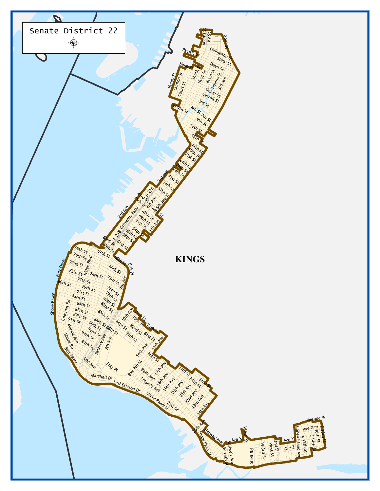